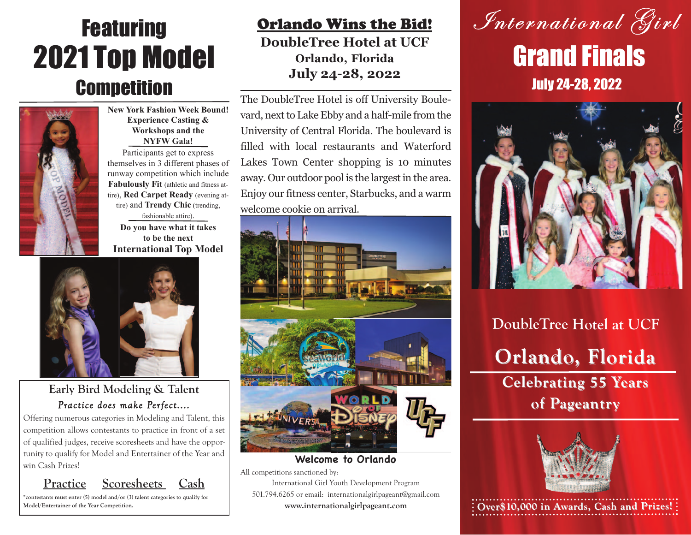# Featuring 2021 Top Model **Competition**



**New York Fashion Week Bound! Experience Casting & Workshops and the NYFW Gala!** Participants get to express themselves in 3 different phases of runway competition which include **Fabulously Fit** (athletic and fitness attire), **Red Carpet Ready** (evening attire) and **Trendy Chic** (trending, fashionable attire).

**Do you have what it takes to be the next International Top Model**



**Early Bird Modeling & Talent** *Practice does make Perfect....*

Offering numerous categories in Modeling and Talent, this competition allows contestants to practice in front of a set of qualified judges, receive scoresheets and have the opportunity to qualify for Model and Entertainer of the Year and win Cash Prizes!

### **Practice Scoresheets Cash**

**\*contestants must enter (5) model and/or (3) talent categories to qualify for**

### **DoubleTree Hotel at UCF Orlando, Florida July 24-28, 2022**

The DoubleTree Hotel is off University Boulevard, next to Lake Ebby and a half-mile from the University of Central Florida. The boulevard is filled with local restaurants and Waterford Lakes Town Center shopping is 10 minutes away. Our outdoor pool is the largest in the area. Enjoy our fitness center, Starbucks, and a warm welcome cookie on arrival.



**Welcome to Orlando**

All competitions sanctioned by:

International Girl Youth Development Program 501.794.6265 or email: internationalgirlpageant@gmail.com **www.internationalgirlpageant.com**





**DoubleTree Hotel at UCF Orlando, Florida Orlando, Florida Celebrating 55 Years of Pageantry of Pageantry**



Model/Entertainer of the Year Competition. **and Prizes! WWW.internationalgirlpageant.com**  $\cdot$  **Over\$10,000 in Awards, Cash and Prizes!**